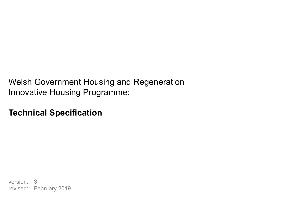Welsh Government Housing and Regeneration Innovative Housing Programme:

**Technical Specification**

version: 3 revised: February 2019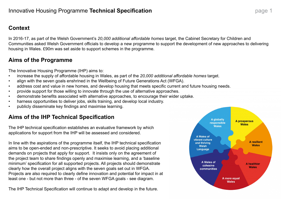#### Innovative Housing Programme **Technical Specification page 1** page 1

#### **Context**

In 2016-17, as part of the Welsh Government's *20,000 additional affordable homes* target, the Cabinet Secretary for Children and Communities asked Welsh Government officials to develop a new programme to support the development of new approaches to delivering housing in Wales. £90m was set aside to support schemes in the programme.

#### **Aims of the IHP Technical Specification**

The IHP technical specification establishes an evaluative framework by which applications for support from the IHP will be assessed and considered.

In line with the aspirations of the programme itself, the IHP technical specification aims to be open-ended and non-prescriptive. It seeks to avoid placing additional demands on projects that apply for support. It insists only on the agreement of the project team to share findings openly and maximise learning, and a 'baseline minimum' specification for all supported projects. All projects should demonstrate clearly how the overall project aligns with the seven goals set out in WFGA. Projects are also required to clearly define innovation and potential for impact in at least one - but not more than three - of the seven WFGA goals - see diagram.

The IHP Technical Specification will continue to adapt and develop in the future.

**A Wales of** vibrant culture and thriving **Welsh** Language

> A Wales of cohesive **communities**



#### **Aims of the Programme**

The Innovative Housing Programme (IHP) aims to:

- increase the supply of affordable housing in Wales, as part of the *20,000 additional affordable homes* target.
- align with the seven goals enshrined in the Wellbeing of Future Generations Act (WFGA).
- address cost and value in new homes, and develop housing that meets specific current and future housing needs.
- provide support for those willing to innovate through the use of alternative approaches.
- demonstrate benefits associated with alternative approaches, to encourage their wider uptake.
- harness opportunities to deliver jobs, skills training, and develop local industry.
- publicly disseminate key findings and maximise learning.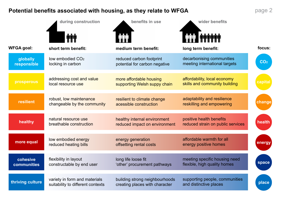**CO2**

#### **Potential benefits associated with housing, as they relate to WFGA**

|                                | during construction                                                | benefits in use                                                  | wider benefits                                                |                 |
|--------------------------------|--------------------------------------------------------------------|------------------------------------------------------------------|---------------------------------------------------------------|-----------------|
|                                |                                                                    |                                                                  |                                                               |                 |
| <b>WFGA goal:</b>              | short term benefit:                                                | medium term benefit:                                             | long term benefit:                                            | focus:          |
| globally<br>responsible        | low embodied CO <sub>2</sub><br>locking in carbon                  | reduced carbon footprint<br>potential for carbon negative        | decarbonising communities<br>meeting international targets    | CO <sub>2</sub> |
| <b>prosperous</b>              | addressing cost and value<br>local resource use                    | more affordable housing<br>supporting Welsh suppy chain          | affordability, local economy<br>skills and community building | capital         |
| resilient                      | robust, low maintenance<br>changeable by the community             | resilient to climate change<br>acessible construction            | adaptability and resilience<br>reskilling and empowering      | change          |
| healthy                        | natural resource use<br>breathable construction                    | healthy internal environment<br>reduced impact on environment    | positive health benefits<br>reduced strain on public services | health          |
| more equal                     | low embodied energy<br>reduced heating bills                       | energy generation<br>offsetting rental costs                     | affordable warmth for all<br>energy positive homes            | energy          |
| cohesive<br><b>communities</b> | flexibility in layout<br>constructable by end user                 | long life loose fit<br>'other' procurement pathways              | meeting specific housing need<br>flexible, high quality homes | space           |
| thriving culture               | variety in form and materials<br>suitability to different contexts | building strong neighbourhoods<br>creating places with character | supporting people, communities<br>and distinctive places      | place           |

#### page 2

#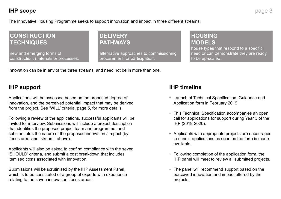#### **CONSTRUCTION TECHNIQUES**

new and emerging forms of construction, materials or processes.

#### **DELIVERY PATHWAYS**

alternative approaches to commissioning procurement, or participation.

**HOUSING MODELS** house types that respond to a specific need or can demonstrate they are ready to be up-scaled.

#### **IHP scope**

The Innovative Housing Programme seeks to support innovation and impact in three different streams:

Innovation can be in any of the three streams, and need not be in more than one.

#### **IHP support**

Applications will be assessed based on the proposed degree of innovation, and the perceived potential impact that may be derived from the project. See 'WILL' criteria, page 5, for more details.

Following a review of the applications, successful applicants will be invited for interview. Submissions will include a project description that identifies the proposed project team and programme, and substantiates the nature of the proposed innovation / impact (by 'focus area' and 'stream', above).

Applicants will also be asked to confirm compliance with the seven 'SHOULD' criteria, and submit a cost breakdown that includes itemised costs associated with innovation.

Submissions will be scrutinised by the IHP Assessment Panel, which is to be constituted of a group of experts with experience relating to the seven innovation 'focus areas'.

#### **IHP timeline**

• Launch of Technical Specification, Guidance and

• This Technical Specification accompanies an open call for applications for support during Year 3 of the

• Applicants with appropriate projects are encouraged to submit applications as soon as the form is made

- Application form in February 2019
- IHP (2019-2020).
- available.
- 
- projects.

• Following completion of the application form, the IHP panel will meet to review all submitted projects.

• The panel will recommend support based on the perceived innovation and impact offered by the

## page 3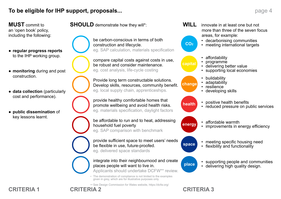#### **To be eligible for IHP support, proposals...**

**MUST** commit to an 'open book' policy, including the following:

- **regular progress reports** to the IHP working group.
- **monitoring** during and post construction.
- **data collection** (particularly cost and performance).
- **public dissemination** of key lessons learnt.

**WILL** innovate in at least one but not more than three of the seven focus areas, for example: • decarbonising communities • meeting international targets

> • positive health benefits • reduced pressure on public services

• affordable warmth • improvements in energy efficiency

• meeting specific housing need • flexibility and functionality

• supporting people and communities • delivering high quality design.



• affordability • programme • delivering better value • supporting local economies

• buildability • adaptability • resilience • developing skills

### **CRITERIA 1 CRITERIA 2 CRITERIA 3**

#### page 4